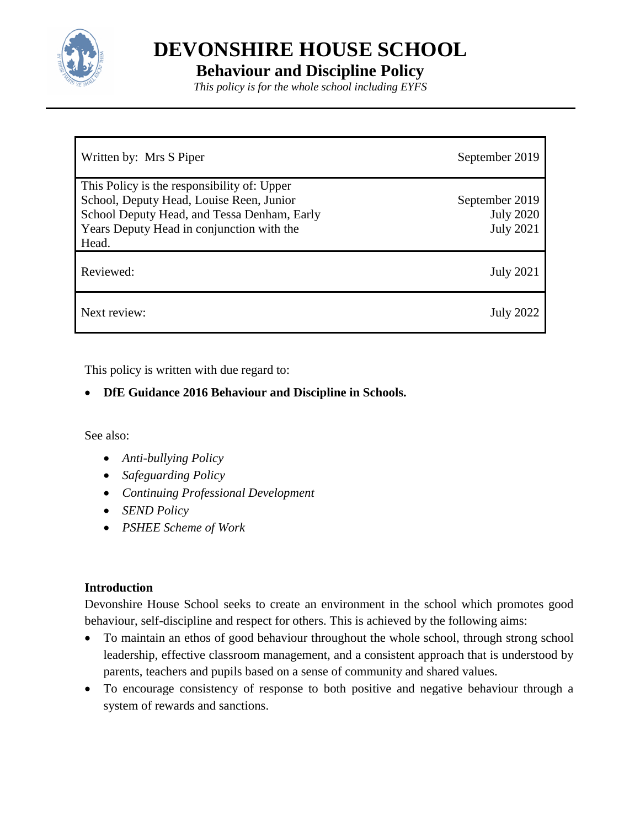

**DEVONSHIRE HOUSE SCHOOL**

# **Behaviour and Discipline Policy**

*This policy is for the whole school including EYFS*

| Written by: Mrs S Piper                                                                                                                                                             | September 2019                                         |
|-------------------------------------------------------------------------------------------------------------------------------------------------------------------------------------|--------------------------------------------------------|
| This Policy is the responsibility of: Upper<br>School, Deputy Head, Louise Reen, Junior<br>School Deputy Head, and Tessa Denham, Early<br>Years Deputy Head in conjunction with the | September 2019<br><b>July 2020</b><br><b>July 2021</b> |
| Head.                                                                                                                                                                               |                                                        |
| Reviewed:                                                                                                                                                                           | <b>July 2021</b>                                       |
| Next review:                                                                                                                                                                        | <b>July 2022</b>                                       |

This policy is written with due regard to:

# **DfE Guidance 2016 Behaviour and Discipline in Schools.**

See also:

- *Anti-bullying Policy*
- *Safeguarding Policy*
- *Continuing Professional Development*
- *SEND Policy*
- *PSHEE Scheme of Work*

# <span id="page-0-0"></span>**Introduction**

Devonshire House School seeks to create an environment in the school which promotes good behaviour, self-discipline and respect for others. This is achieved by the following aims:

- To maintain an ethos of good behaviour throughout the whole school, through strong school leadership, effective classroom management, and a consistent approach that is understood by parents, teachers and pupils based on a sense of community and shared values.
- To encourage consistency of response to both positive and negative behaviour through a system of rewards and sanctions.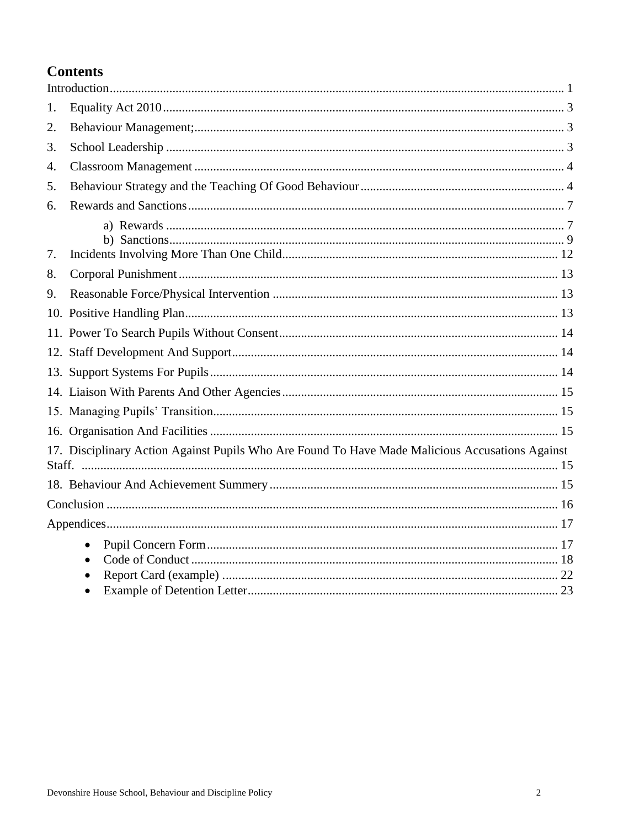# **Contents**

| 1. |                                                                                                 |  |
|----|-------------------------------------------------------------------------------------------------|--|
| 2. |                                                                                                 |  |
| 3. |                                                                                                 |  |
| 4. |                                                                                                 |  |
| 5. |                                                                                                 |  |
| 6. |                                                                                                 |  |
| 7. |                                                                                                 |  |
| 8. |                                                                                                 |  |
| 9. |                                                                                                 |  |
|    |                                                                                                 |  |
|    |                                                                                                 |  |
|    |                                                                                                 |  |
|    |                                                                                                 |  |
|    |                                                                                                 |  |
|    |                                                                                                 |  |
|    |                                                                                                 |  |
|    | 17. Disciplinary Action Against Pupils Who Are Found To Have Made Malicious Accusations Against |  |
|    |                                                                                                 |  |
|    |                                                                                                 |  |
|    |                                                                                                 |  |
|    | $\bullet$<br>$\bullet$                                                                          |  |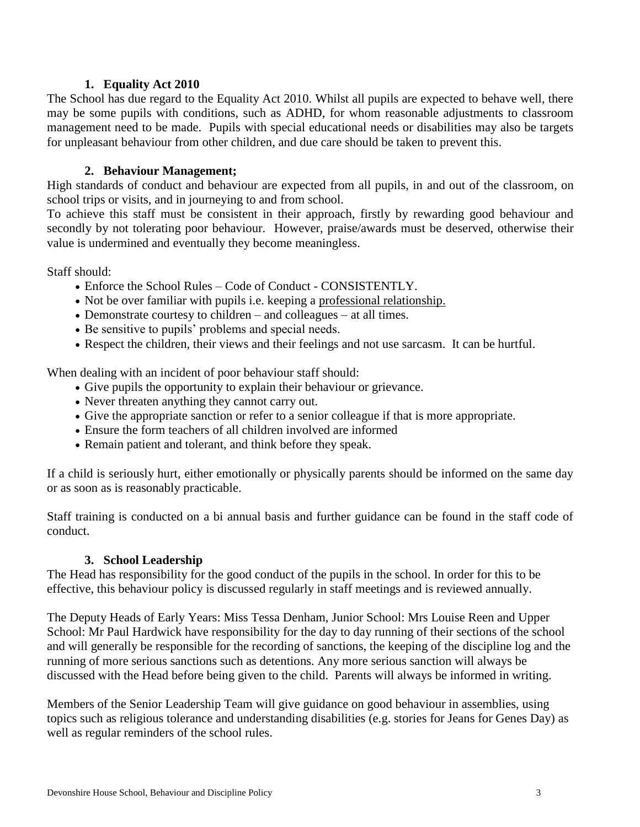#### **1. Equality Act 2010**

<span id="page-2-0"></span>The School has due regard to the Equality Act 2010. Whilst all pupils are expected to behave well, there may be some pupils with conditions, such as ADHD, for whom reasonable adjustments to classroom management need to be made. Pupils with special educational needs or disabilities may also be targets for unpleasant behaviour from other children, and due care should be taken to prevent this.

### **2. Behaviour Management;**

<span id="page-2-1"></span>High standards of conduct and behaviour are expected from all pupils, in and out of the classroom, on school trips or visits, and in journeying to and from school.

To achieve this staff must be consistent in their approach, firstly by rewarding good behaviour and secondly by not tolerating poor behaviour. However, praise/awards must be deserved, otherwise their value is undermined and eventually they become meaningless.

Staff should:

- Enforce the School Rules Code of Conduct CONSISTENTLY.
- Not be over familiar with pupils i.e. keeping a professional relationship.
- Demonstrate courtesy to children and colleagues at all times.
- Be sensitive to pupils' problems and special needs.
- Respect the children, their views and their feelings and not use sarcasm. It can be hurtful.

When dealing with an incident of poor behaviour staff should:

- Give pupils the opportunity to explain their behaviour or grievance.
- Never threaten anything they cannot carry out.
- Give the appropriate sanction or refer to a senior colleague if that is more appropriate.
- Ensure the form teachers of all children involved are informed
- Remain patient and tolerant, and think before they speak.

If a child is seriously hurt, either emotionally or physically parents should be informed on the same day or as soon as is reasonably practicable.

Staff training is conducted on a bi annual basis and further guidance can be found in the staff code of conduct.

#### **3. School Leadership**

<span id="page-2-2"></span>The Head has responsibility for the good conduct of the pupils in the school. In order for this to be effective, this behaviour policy is discussed regularly in staff meetings and is reviewed annually.

The Deputy Heads of Early Years: Miss Tessa Denham, Junior School: Mrs Louise Reen and Upper School: Mr Paul Hardwick have responsibility for the day to day running of their sections of the school and will generally be responsible for the recording of sanctions, the keeping of the discipline log and the running of more serious sanctions such as detentions. Any more serious sanction will always be discussed with the Head before being given to the child. Parents will always be informed in writing.

Members of the Senior Leadership Team will give guidance on good behaviour in assemblies, using topics such as religious tolerance and understanding disabilities (e.g. stories for Jeans for Genes Day) as well as regular reminders of the school rules.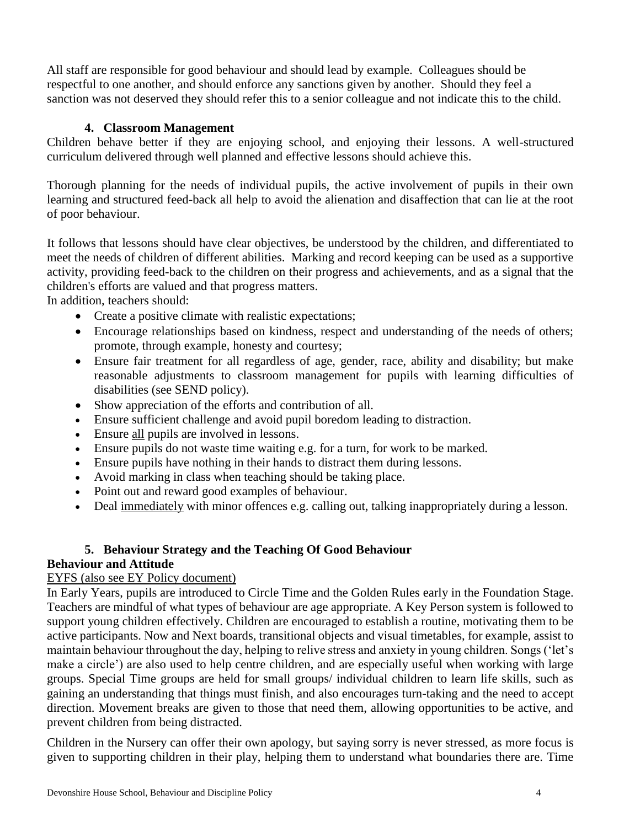All staff are responsible for good behaviour and should lead by example. Colleagues should be respectful to one another, and should enforce any sanctions given by another. Should they feel a sanction was not deserved they should refer this to a senior colleague and not indicate this to the child.

# **4. Classroom Management**

<span id="page-3-0"></span>Children behave better if they are enjoying school, and enjoying their lessons. A well-structured curriculum delivered through well planned and effective lessons should achieve this.

Thorough planning for the needs of individual pupils, the active involvement of pupils in their own learning and structured feed-back all help to avoid the alienation and disaffection that can lie at the root of poor behaviour.

It follows that lessons should have clear objectives, be understood by the children, and differentiated to meet the needs of children of different abilities. Marking and record keeping can be used as a supportive activity, providing feed-back to the children on their progress and achievements, and as a signal that the children's efforts are valued and that progress matters.

In addition, teachers should:

- Create a positive climate with realistic expectations;
- Encourage relationships based on kindness, respect and understanding of the needs of others; promote, through example, honesty and courtesy;
- Ensure fair treatment for all regardless of age, gender, race, ability and disability; but make reasonable adjustments to classroom management for pupils with learning difficulties of disabilities (see SEND policy).
- Show appreciation of the efforts and contribution of all.
- Ensure sufficient challenge and avoid pupil boredom leading to distraction.
- Ensure all pupils are involved in lessons.
- Ensure pupils do not waste time waiting e.g. for a turn, for work to be marked.
- Ensure pupils have nothing in their hands to distract them during lessons.
- Avoid marking in class when teaching should be taking place.
- Point out and reward good examples of behaviour.
- Deal immediately with minor offences e.g. calling out, talking inappropriately during a lesson.

# **5. Behaviour Strategy and the Teaching Of Good Behaviour**

# <span id="page-3-1"></span>**Behaviour and Attitude**

# EYFS (also see EY Policy document)

In Early Years, pupils are introduced to Circle Time and the Golden Rules early in the Foundation Stage. Teachers are mindful of what types of behaviour are age appropriate. A Key Person system is followed to support young children effectively. Children are encouraged to establish a routine, motivating them to be active participants. Now and Next boards, transitional objects and visual timetables, for example, assist to maintain behaviour throughout the day, helping to relive stress and anxiety in young children. Songs ('let's make a circle') are also used to help centre children, and are especially useful when working with large groups. Special Time groups are held for small groups/ individual children to learn life skills, such as gaining an understanding that things must finish, and also encourages turn-taking and the need to accept direction. Movement breaks are given to those that need them, allowing opportunities to be active, and prevent children from being distracted.

Children in the Nursery can offer their own apology, but saying sorry is never stressed, as more focus is given to supporting children in their play, helping them to understand what boundaries there are. Time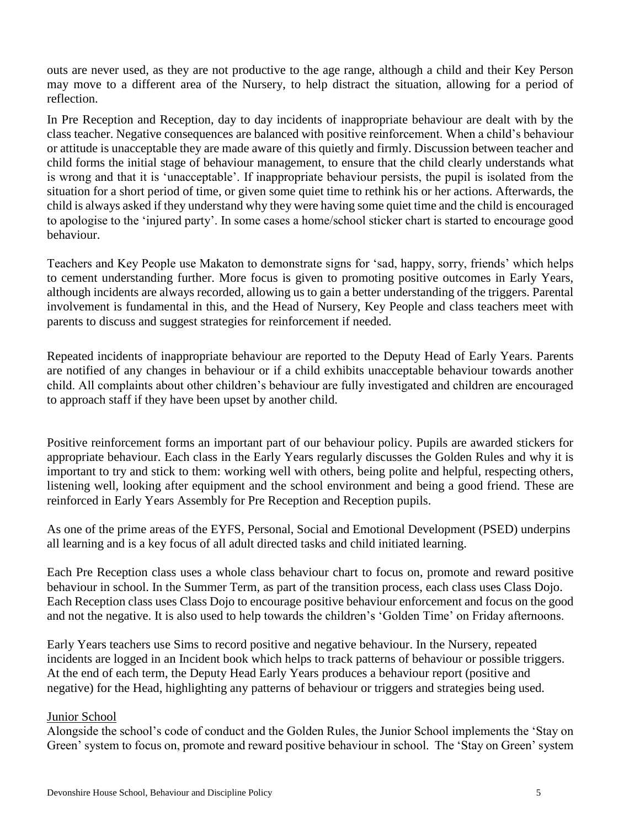outs are never used, as they are not productive to the age range, although a child and their Key Person may move to a different area of the Nursery, to help distract the situation, allowing for a period of reflection.

In Pre Reception and Reception, day to day incidents of inappropriate behaviour are dealt with by the class teacher. Negative consequences are balanced with positive reinforcement. When a child's behaviour or attitude is unacceptable they are made aware of this quietly and firmly. Discussion between teacher and child forms the initial stage of behaviour management, to ensure that the child clearly understands what is wrong and that it is 'unacceptable'. If inappropriate behaviour persists, the pupil is isolated from the situation for a short period of time, or given some quiet time to rethink his or her actions. Afterwards, the child is always asked if they understand why they were having some quiet time and the child is encouraged to apologise to the 'injured party'. In some cases a home/school sticker chart is started to encourage good behaviour.

Teachers and Key People use Makaton to demonstrate signs for 'sad, happy, sorry, friends' which helps to cement understanding further. More focus is given to promoting positive outcomes in Early Years, although incidents are always recorded, allowing us to gain a better understanding of the triggers. Parental involvement is fundamental in this, and the Head of Nursery, Key People and class teachers meet with parents to discuss and suggest strategies for reinforcement if needed.

Repeated incidents of inappropriate behaviour are reported to the Deputy Head of Early Years. Parents are notified of any changes in behaviour or if a child exhibits unacceptable behaviour towards another child. All complaints about other children's behaviour are fully investigated and children are encouraged to approach staff if they have been upset by another child.

Positive reinforcement forms an important part of our behaviour policy. Pupils are awarded stickers for appropriate behaviour. Each class in the Early Years regularly discusses the Golden Rules and why it is important to try and stick to them: working well with others, being polite and helpful, respecting others, listening well, looking after equipment and the school environment and being a good friend. These are reinforced in Early Years Assembly for Pre Reception and Reception pupils.

As one of the prime areas of the EYFS, Personal, Social and Emotional Development (PSED) underpins all learning and is a key focus of all adult directed tasks and child initiated learning.

Each Pre Reception class uses a whole class behaviour chart to focus on, promote and reward positive behaviour in school. In the Summer Term, as part of the transition process, each class uses Class Dojo. Each Reception class uses Class Dojo to encourage positive behaviour enforcement and focus on the good and not the negative. It is also used to help towards the children's 'Golden Time' on Friday afternoons.

Early Years teachers use Sims to record positive and negative behaviour. In the Nursery, repeated incidents are logged in an Incident book which helps to track patterns of behaviour or possible triggers. At the end of each term, the Deputy Head Early Years produces a behaviour report (positive and negative) for the Head, highlighting any patterns of behaviour or triggers and strategies being used.

#### Junior School

Alongside the school's code of conduct and the Golden Rules, the Junior School implements the 'Stay on Green' system to focus on, promote and reward positive behaviour in school. The 'Stay on Green' system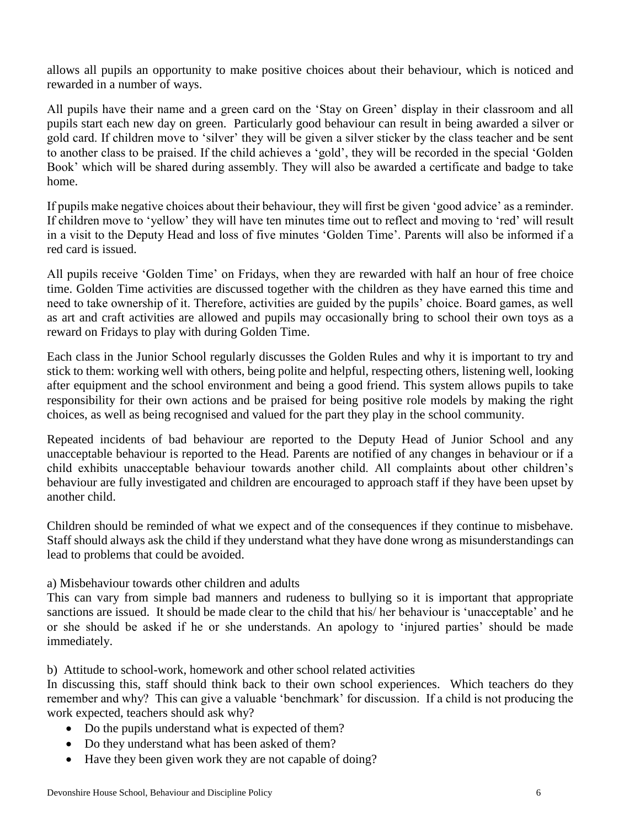allows all pupils an opportunity to make positive choices about their behaviour, which is noticed and rewarded in a number of ways.

All pupils have their name and a green card on the 'Stay on Green' display in their classroom and all pupils start each new day on green. Particularly good behaviour can result in being awarded a silver or gold card. If children move to 'silver' they will be given a silver sticker by the class teacher and be sent to another class to be praised. If the child achieves a 'gold', they will be recorded in the special 'Golden Book' which will be shared during assembly. They will also be awarded a certificate and badge to take home.

If pupils make negative choices about their behaviour, they will first be given 'good advice' as a reminder. If children move to 'yellow' they will have ten minutes time out to reflect and moving to 'red' will result in a visit to the Deputy Head and loss of five minutes 'Golden Time'. Parents will also be informed if a red card is issued.

All pupils receive 'Golden Time' on Fridays, when they are rewarded with half an hour of free choice time. Golden Time activities are discussed together with the children as they have earned this time and need to take ownership of it. Therefore, activities are guided by the pupils' choice. Board games, as well as art and craft activities are allowed and pupils may occasionally bring to school their own toys as a reward on Fridays to play with during Golden Time.

Each class in the Junior School regularly discusses the Golden Rules and why it is important to try and stick to them: working well with others, being polite and helpful, respecting others, listening well, looking after equipment and the school environment and being a good friend. This system allows pupils to take responsibility for their own actions and be praised for being positive role models by making the right choices, as well as being recognised and valued for the part they play in the school community.

Repeated incidents of bad behaviour are reported to the Deputy Head of Junior School and any unacceptable behaviour is reported to the Head. Parents are notified of any changes in behaviour or if a child exhibits unacceptable behaviour towards another child. All complaints about other children's behaviour are fully investigated and children are encouraged to approach staff if they have been upset by another child.

Children should be reminded of what we expect and of the consequences if they continue to misbehave. Staff should always ask the child if they understand what they have done wrong as misunderstandings can lead to problems that could be avoided.

#### a) Misbehaviour towards other children and adults

This can vary from simple bad manners and rudeness to bullying so it is important that appropriate sanctions are issued. It should be made clear to the child that his/ her behaviour is 'unacceptable' and he or she should be asked if he or she understands. An apology to 'injured parties' should be made immediately.

b) Attitude to school-work, homework and other school related activities

In discussing this, staff should think back to their own school experiences. Which teachers do they remember and why? This can give a valuable 'benchmark' for discussion. If a child is not producing the work expected, teachers should ask why?

- Do the pupils understand what is expected of them?
- Do they understand what has been asked of them?
- Have they been given work they are not capable of doing?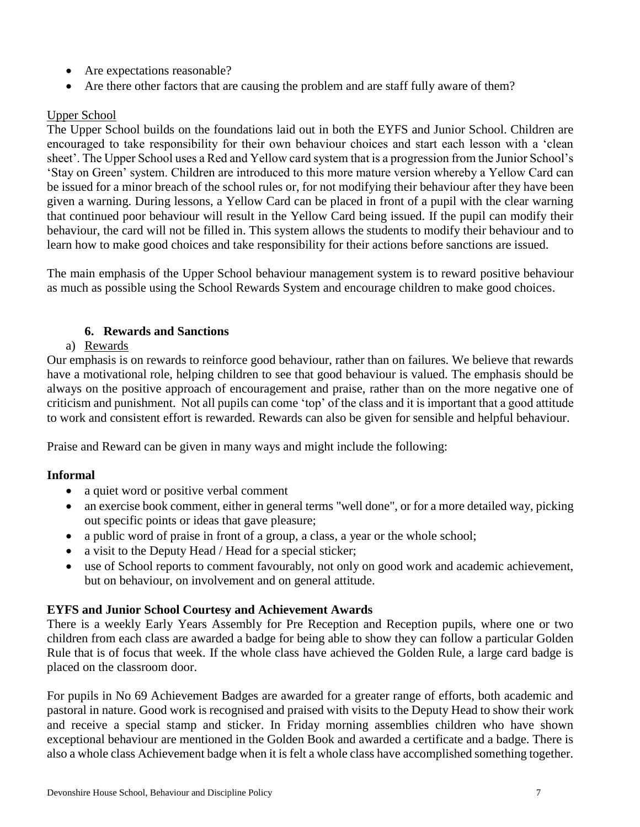- Are expectations reasonable?
- Are there other factors that are causing the problem and are staff fully aware of them?

# Upper School

The Upper School builds on the foundations laid out in both the EYFS and Junior School. Children are encouraged to take responsibility for their own behaviour choices and start each lesson with a 'clean sheet'. The Upper School uses a Red and Yellow card system that is a progression from the Junior School's 'Stay on Green' system. Children are introduced to this more mature version whereby a Yellow Card can be issued for a minor breach of the school rules or, for not modifying their behaviour after they have been given a warning. During lessons, a Yellow Card can be placed in front of a pupil with the clear warning that continued poor behaviour will result in the Yellow Card being issued. If the pupil can modify their behaviour, the card will not be filled in. This system allows the students to modify their behaviour and to learn how to make good choices and take responsibility for their actions before sanctions are issued.

The main emphasis of the Upper School behaviour management system is to reward positive behaviour as much as possible using the School Rewards System and encourage children to make good choices.

# **6. Rewards and Sanctions**

# <span id="page-6-0"></span>a) Rewards

<span id="page-6-1"></span>Our emphasis is on rewards to reinforce good behaviour, rather than on failures. We believe that rewards have a motivational role, helping children to see that good behaviour is valued. The emphasis should be always on the positive approach of encouragement and praise, rather than on the more negative one of criticism and punishment. Not all pupils can come 'top' of the class and it is important that a good attitude to work and consistent effort is rewarded. Rewards can also be given for sensible and helpful behaviour.

Praise and Reward can be given in many ways and might include the following:

# **Informal**

- a quiet word or positive verbal comment
- an exercise book comment, either in general terms "well done", or for a more detailed way, picking out specific points or ideas that gave pleasure;
- a public word of praise in front of a group, a class, a year or the whole school;
- a visit to the Deputy Head / Head for a special sticker;
- use of School reports to comment favourably, not only on good work and academic achievement, but on behaviour, on involvement and on general attitude.

# **EYFS and Junior School Courtesy and Achievement Awards**

There is a weekly Early Years Assembly for Pre Reception and Reception pupils, where one or two children from each class are awarded a badge for being able to show they can follow a particular Golden Rule that is of focus that week. If the whole class have achieved the Golden Rule, a large card badge is placed on the classroom door.

For pupils in No 69 Achievement Badges are awarded for a greater range of efforts, both academic and pastoral in nature. Good work is recognised and praised with visits to the Deputy Head to show their work and receive a special stamp and sticker. In Friday morning assemblies children who have shown exceptional behaviour are mentioned in the Golden Book and awarded a certificate and a badge. There is also a whole class Achievement badge when it is felt a whole class have accomplished something together.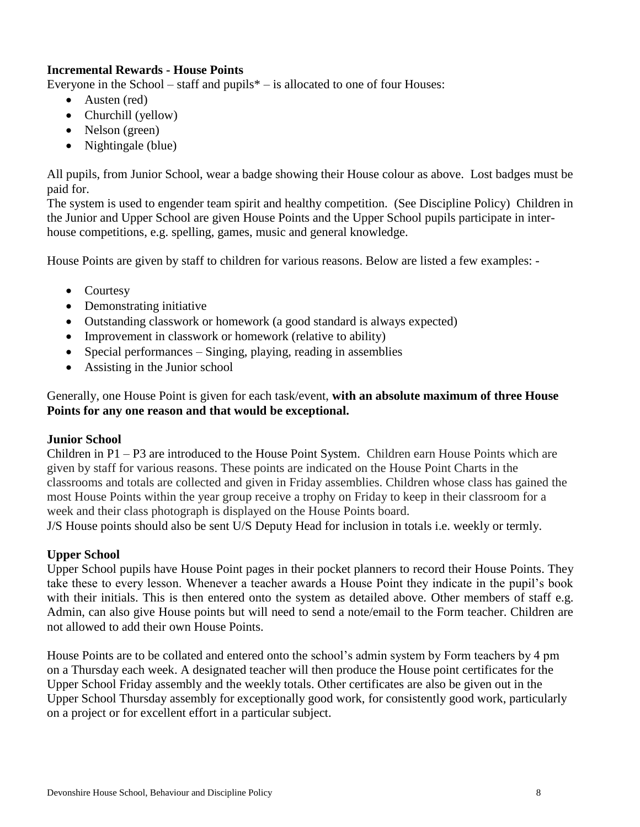# **Incremental Rewards - House Points**

Everyone in the School – staff and pupils $*$  – is allocated to one of four Houses:

- Austen (red)
- Churchill (yellow)
- Nelson (green)
- Nightingale (blue)

All pupils, from Junior School, wear a badge showing their House colour as above. Lost badges must be paid for.

The system is used to engender team spirit and healthy competition. (See Discipline Policy) Children in the Junior and Upper School are given House Points and the Upper School pupils participate in interhouse competitions, e.g. spelling, games, music and general knowledge.

House Points are given by staff to children for various reasons. Below are listed a few examples: -

- Courtesy
- Demonstrating initiative
- Outstanding classwork or homework (a good standard is always expected)
- Improvement in classwork or homework (relative to ability)
- Special performances Singing, playing, reading in assemblies
- Assisting in the Junior school

# Generally, one House Point is given for each task/event, **with an absolute maximum of three House Points for any one reason and that would be exceptional.**

# **Junior School**

Children in P1 – P3 are introduced to the House Point System. Children earn House Points which are given by staff for various reasons. These points are indicated on the House Point Charts in the classrooms and totals are collected and given in Friday assemblies. Children whose class has gained the most House Points within the year group receive a trophy on Friday to keep in their classroom for a week and their class photograph is displayed on the House Points board.

J/S House points should also be sent U/S Deputy Head for inclusion in totals i.e. weekly or termly.

# **Upper School**

Upper School pupils have House Point pages in their pocket planners to record their House Points. They take these to every lesson. Whenever a teacher awards a House Point they indicate in the pupil's book with their initials. This is then entered onto the system as detailed above. Other members of staff e.g. Admin, can also give House points but will need to send a note/email to the Form teacher. Children are not allowed to add their own House Points.

House Points are to be collated and entered onto the school's admin system by Form teachers by 4 pm on a Thursday each week. A designated teacher will then produce the House point certificates for the Upper School Friday assembly and the weekly totals. Other certificates are also be given out in the Upper School Thursday assembly for exceptionally good work, for consistently good work, particularly on a project or for excellent effort in a particular subject.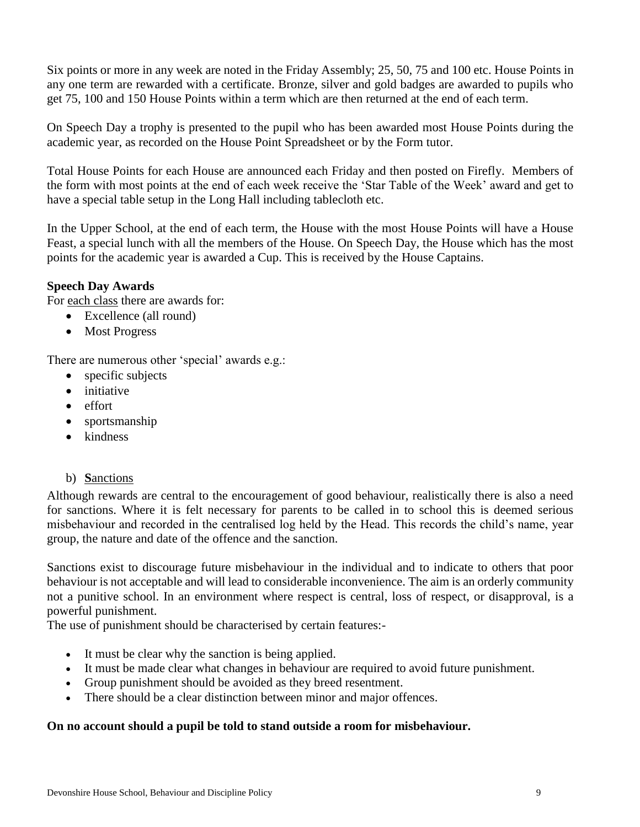Six points or more in any week are noted in the Friday Assembly; 25, 50, 75 and 100 etc. House Points in any one term are rewarded with a certificate. Bronze, silver and gold badges are awarded to pupils who get 75, 100 and 150 House Points within a term which are then returned at the end of each term.

On Speech Day a trophy is presented to the pupil who has been awarded most House Points during the academic year, as recorded on the House Point Spreadsheet or by the Form tutor.

Total House Points for each House are announced each Friday and then posted on Firefly. Members of the form with most points at the end of each week receive the 'Star Table of the Week' award and get to have a special table setup in the Long Hall including tablecloth etc.

In the Upper School, at the end of each term, the House with the most House Points will have a House Feast, a special lunch with all the members of the House. On Speech Day, the House which has the most points for the academic year is awarded a Cup. This is received by the House Captains.

# **Speech Day Awards**

For each class there are awards for:

- Excellence (all round)
- Most Progress

There are numerous other 'special' awards e.g.:

- specific subjects
- initiative
- effort
- sportsmanship
- kindness

#### <span id="page-8-0"></span>b) **S**anctions

Although rewards are central to the encouragement of good behaviour, realistically there is also a need for sanctions. Where it is felt necessary for parents to be called in to school this is deemed serious misbehaviour and recorded in the centralised log held by the Head. This records the child's name, year group, the nature and date of the offence and the sanction.

Sanctions exist to discourage future misbehaviour in the individual and to indicate to others that poor behaviour is not acceptable and will lead to considerable inconvenience. The aim is an orderly community not a punitive school. In an environment where respect is central, loss of respect, or disapproval, is a powerful punishment.

The use of punishment should be characterised by certain features:-

- It must be clear why the sanction is being applied.
- It must be made clear what changes in behaviour are required to avoid future punishment.
- Group punishment should be avoided as they breed resentment.
- There should be a clear distinction between minor and major offences.

#### **On no account should a pupil be told to stand outside a room for misbehaviour.**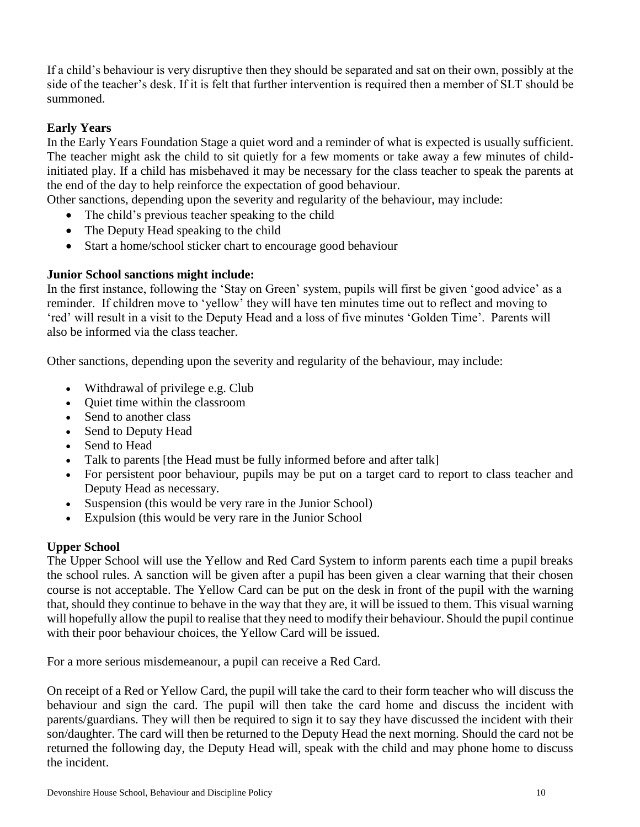If a child's behaviour is very disruptive then they should be separated and sat on their own, possibly at the side of the teacher's desk. If it is felt that further intervention is required then a member of SLT should be summoned.

# **Early Years**

In the Early Years Foundation Stage a quiet word and a reminder of what is expected is usually sufficient. The teacher might ask the child to sit quietly for a few moments or take away a few minutes of childinitiated play. If a child has misbehaved it may be necessary for the class teacher to speak the parents at the end of the day to help reinforce the expectation of good behaviour.

Other sanctions, depending upon the severity and regularity of the behaviour, may include:

- The child's previous teacher speaking to the child
- The Deputy Head speaking to the child
- Start a home/school sticker chart to encourage good behaviour

#### **Junior School sanctions might include:**

In the first instance, following the 'Stay on Green' system, pupils will first be given 'good advice' as a reminder. If children move to 'yellow' they will have ten minutes time out to reflect and moving to 'red' will result in a visit to the Deputy Head and a loss of five minutes 'Golden Time'. Parents will also be informed via the class teacher.

Other sanctions, depending upon the severity and regularity of the behaviour, may include:

- Withdrawal of privilege e.g. Club
- Quiet time within the classroom
- Send to another class
- Send to Deputy Head
- Send to Head
- Talk to parents [the Head must be fully informed before and after talk]
- For persistent poor behaviour, pupils may be put on a target card to report to class teacher and Deputy Head as necessary.
- Suspension (this would be very rare in the Junior School)
- Expulsion (this would be very rare in the Junior School

# **Upper School**

The Upper School will use the Yellow and Red Card System to inform parents each time a pupil breaks the school rules. A sanction will be given after a pupil has been given a clear warning that their chosen course is not acceptable. The Yellow Card can be put on the desk in front of the pupil with the warning that, should they continue to behave in the way that they are, it will be issued to them. This visual warning will hopefully allow the pupil to realise that they need to modify their behaviour. Should the pupil continue with their poor behaviour choices, the Yellow Card will be issued.

For a more serious misdemeanour, a pupil can receive a Red Card.

On receipt of a Red or Yellow Card, the pupil will take the card to their form teacher who will discuss the behaviour and sign the card. The pupil will then take the card home and discuss the incident with parents/guardians. They will then be required to sign it to say they have discussed the incident with their son/daughter. The card will then be returned to the Deputy Head the next morning. Should the card not be returned the following day, the Deputy Head will, speak with the child and may phone home to discuss the incident.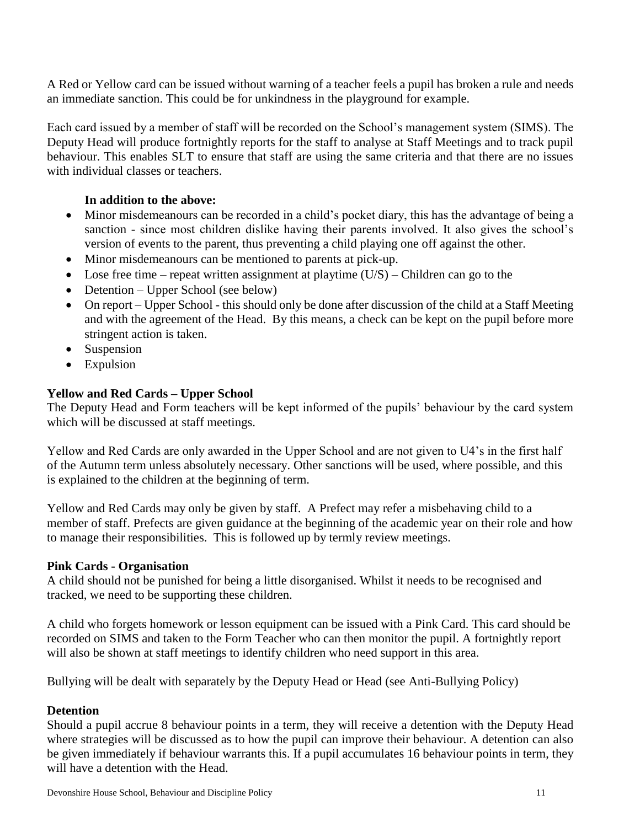A Red or Yellow card can be issued without warning of a teacher feels a pupil has broken a rule and needs an immediate sanction. This could be for unkindness in the playground for example.

Each card issued by a member of staff will be recorded on the School's management system (SIMS). The Deputy Head will produce fortnightly reports for the staff to analyse at Staff Meetings and to track pupil behaviour. This enables SLT to ensure that staff are using the same criteria and that there are no issues with individual classes or teachers.

# **In addition to the above:**

- Minor misdemeanours can be recorded in a child's pocket diary, this has the advantage of being a sanction - since most children dislike having their parents involved. It also gives the school's version of events to the parent, thus preventing a child playing one off against the other.
- Minor misdemeanours can be mentioned to parents at pick-up.
- Lose free time repeat written assignment at playtime  $(U/S)$  Children can go to the
- Detention Upper School (see below)
- On report Upper School this should only be done after discussion of the child at a Staff Meeting and with the agreement of the Head. By this means, a check can be kept on the pupil before more stringent action is taken.
- Suspension
- Expulsion

# **Yellow and Red Cards – Upper School**

The Deputy Head and Form teachers will be kept informed of the pupils' behaviour by the card system which will be discussed at staff meetings.

Yellow and Red Cards are only awarded in the Upper School and are not given to U4's in the first half of the Autumn term unless absolutely necessary. Other sanctions will be used, where possible, and this is explained to the children at the beginning of term.

Yellow and Red Cards may only be given by staff. A Prefect may refer a misbehaving child to a member of staff. Prefects are given guidance at the beginning of the academic year on their role and how to manage their responsibilities. This is followed up by termly review meetings.

# **Pink Cards - Organisation**

A child should not be punished for being a little disorganised. Whilst it needs to be recognised and tracked, we need to be supporting these children.

A child who forgets homework or lesson equipment can be issued with a Pink Card. This card should be recorded on SIMS and taken to the Form Teacher who can then monitor the pupil. A fortnightly report will also be shown at staff meetings to identify children who need support in this area.

Bullying will be dealt with separately by the Deputy Head or Head (see Anti-Bullying Policy)

# **Detention**

Should a pupil accrue 8 behaviour points in a term, they will receive a detention with the Deputy Head where strategies will be discussed as to how the pupil can improve their behaviour. A detention can also be given immediately if behaviour warrants this. If a pupil accumulates 16 behaviour points in term, they will have a detention with the Head.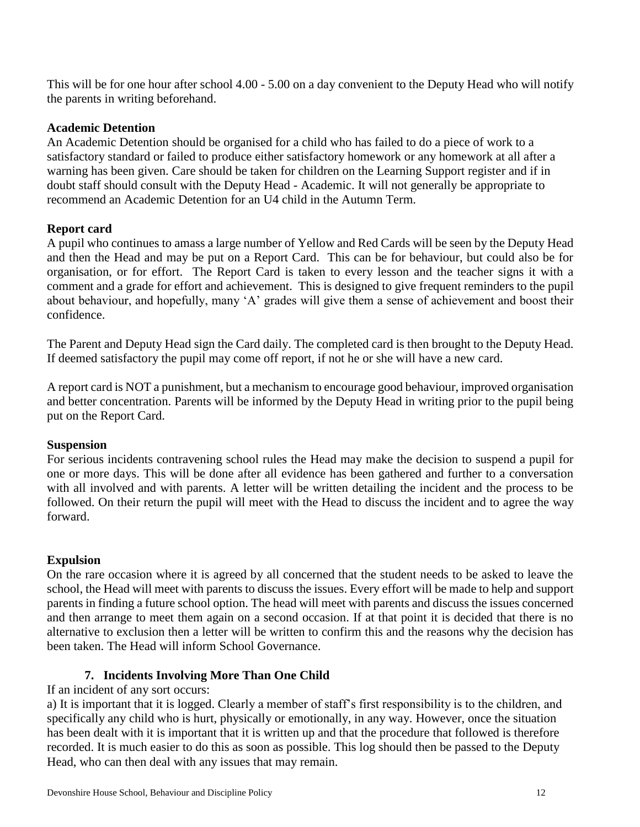This will be for one hour after school 4.00 - 5.00 on a day convenient to the Deputy Head who will notify the parents in writing beforehand.

#### **Academic Detention**

An Academic Detention should be organised for a child who has failed to do a piece of work to a satisfactory standard or failed to produce either satisfactory homework or any homework at all after a warning has been given. Care should be taken for children on the Learning Support register and if in doubt staff should consult with the Deputy Head - Academic. It will not generally be appropriate to recommend an Academic Detention for an U4 child in the Autumn Term.

# **Report card**

A pupil who continues to amass a large number of Yellow and Red Cards will be seen by the Deputy Head and then the Head and may be put on a Report Card. This can be for behaviour, but could also be for organisation, or for effort. The Report Card is taken to every lesson and the teacher signs it with a comment and a grade for effort and achievement. This is designed to give frequent reminders to the pupil about behaviour, and hopefully, many 'A' grades will give them a sense of achievement and boost their confidence.

The Parent and Deputy Head sign the Card daily. The completed card is then brought to the Deputy Head. If deemed satisfactory the pupil may come off report, if not he or she will have a new card.

A report card is NOT a punishment, but a mechanism to encourage good behaviour, improved organisation and better concentration. Parents will be informed by the Deputy Head in writing prior to the pupil being put on the Report Card.

# **Suspension**

For serious incidents contravening school rules the Head may make the decision to suspend a pupil for one or more days. This will be done after all evidence has been gathered and further to a conversation with all involved and with parents. A letter will be written detailing the incident and the process to be followed. On their return the pupil will meet with the Head to discuss the incident and to agree the way forward.

# **Expulsion**

On the rare occasion where it is agreed by all concerned that the student needs to be asked to leave the school, the Head will meet with parents to discuss the issues. Every effort will be made to help and support parents in finding a future school option. The head will meet with parents and discuss the issues concerned and then arrange to meet them again on a second occasion. If at that point it is decided that there is no alternative to exclusion then a letter will be written to confirm this and the reasons why the decision has been taken. The Head will inform School Governance.

# **7. Incidents Involving More Than One Child**

<span id="page-11-0"></span>If an incident of any sort occurs:

a) It is important that it is logged. Clearly a member of staff's first responsibility is to the children, and specifically any child who is hurt, physically or emotionally, in any way. However, once the situation has been dealt with it is important that it is written up and that the procedure that followed is therefore recorded. It is much easier to do this as soon as possible. This log should then be passed to the Deputy Head, who can then deal with any issues that may remain.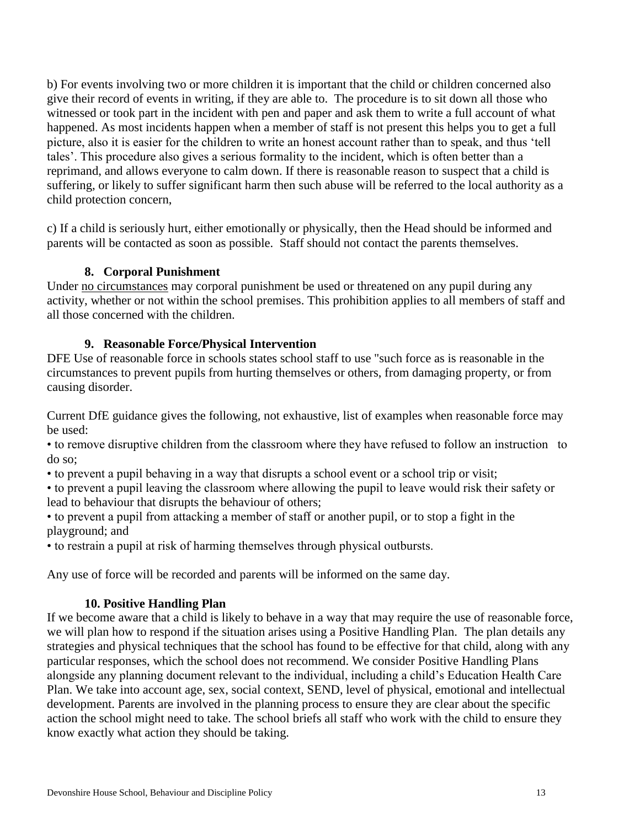b) For events involving two or more children it is important that the child or children concerned also give their record of events in writing, if they are able to. The procedure is to sit down all those who witnessed or took part in the incident with pen and paper and ask them to write a full account of what happened. As most incidents happen when a member of staff is not present this helps you to get a full picture, also it is easier for the children to write an honest account rather than to speak, and thus 'tell tales'. This procedure also gives a serious formality to the incident, which is often better than a reprimand, and allows everyone to calm down. If there is reasonable reason to suspect that a child is suffering, or likely to suffer significant harm then such abuse will be referred to the local authority as a child protection concern,

c) If a child is seriously hurt, either emotionally or physically, then the Head should be informed and parents will be contacted as soon as possible. Staff should not contact the parents themselves.

# **8. Corporal Punishment**

<span id="page-12-0"></span>Under no circumstances may corporal punishment be used or threatened on any pupil during any activity, whether or not within the school premises. This prohibition applies to all members of staff and all those concerned with the children.

# **9. Reasonable Force/Physical Intervention**

<span id="page-12-1"></span>DFE Use of reasonable force in schools states school staff to use "such force as is reasonable in the circumstances to prevent pupils from hurting themselves or others, from damaging property, or from causing disorder.

Current DfE guidance gives the following, not exhaustive, list of examples when reasonable force may be used:

• to remove disruptive children from the classroom where they have refused to follow an instruction to do so;

• to prevent a pupil behaving in a way that disrupts a school event or a school trip or visit;

• to prevent a pupil leaving the classroom where allowing the pupil to leave would risk their safety or lead to behaviour that disrupts the behaviour of others;

• to prevent a pupil from attacking a member of staff or another pupil, or to stop a fight in the playground; and

• to restrain a pupil at risk of harming themselves through physical outbursts.

Any use of force will be recorded and parents will be informed on the same day.

# **10. Positive Handling Plan**

<span id="page-12-2"></span>If we become aware that a child is likely to behave in a way that may require the use of reasonable force, we will plan how to respond if the situation arises using a Positive Handling Plan. The plan details any strategies and physical techniques that the school has found to be effective for that child, along with any particular responses, which the school does not recommend. We consider Positive Handling Plans alongside any planning document relevant to the individual, including a child's Education Health Care Plan. We take into account age, sex, social context, SEND, level of physical, emotional and intellectual development. Parents are involved in the planning process to ensure they are clear about the specific action the school might need to take. The school briefs all staff who work with the child to ensure they know exactly what action they should be taking.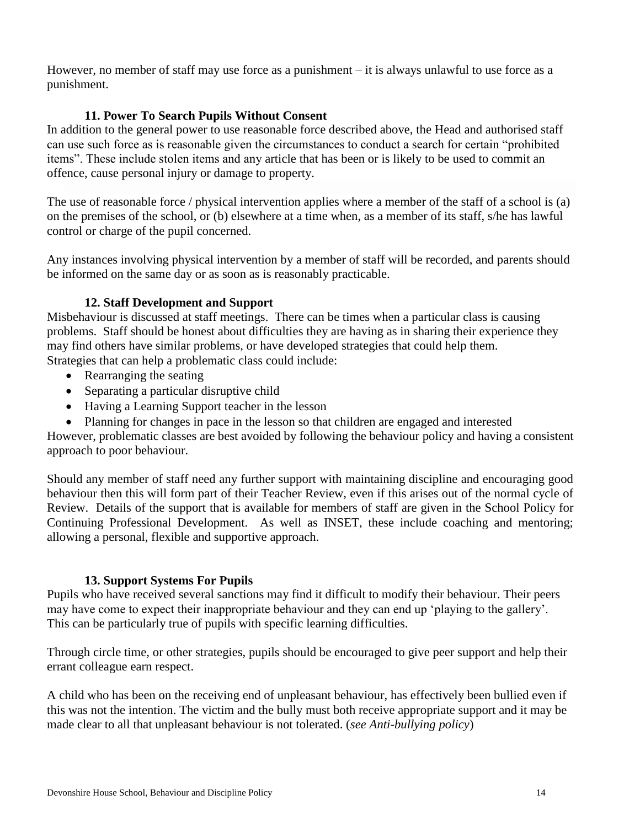However, no member of staff may use force as a punishment – it is always unlawful to use force as a punishment.

# **11. Power To Search Pupils Without Consent**

<span id="page-13-0"></span>In addition to the general power to use reasonable force described above, the Head and authorised staff can use such force as is reasonable given the circumstances to conduct a search for certain "prohibited items". These include stolen items and any article that has been or is likely to be used to commit an offence, cause personal injury or damage to property.

The use of reasonable force / physical intervention applies where a member of the staff of a school is (a) on the premises of the school, or (b) elsewhere at a time when, as a member of its staff, s/he has lawful control or charge of the pupil concerned.

Any instances involving physical intervention by a member of staff will be recorded, and parents should be informed on the same day or as soon as is reasonably practicable.

# **12. Staff Development and Support**

<span id="page-13-1"></span>Misbehaviour is discussed at staff meetings. There can be times when a particular class is causing problems. Staff should be honest about difficulties they are having as in sharing their experience they may find others have similar problems, or have developed strategies that could help them. Strategies that can help a problematic class could include:

- Rearranging the seating
- Separating a particular disruptive child
- Having a Learning Support teacher in the lesson
- Planning for changes in pace in the lesson so that children are engaged and interested

However, problematic classes are best avoided by following the behaviour policy and having a consistent approach to poor behaviour.

Should any member of staff need any further support with maintaining discipline and encouraging good behaviour then this will form part of their Teacher Review, even if this arises out of the normal cycle of Review. Details of the support that is available for members of staff are given in the School Policy for Continuing Professional Development. As well as INSET, these include coaching and mentoring; allowing a personal, flexible and supportive approach.

# **13. Support Systems For Pupils**

<span id="page-13-2"></span>Pupils who have received several sanctions may find it difficult to modify their behaviour. Their peers may have come to expect their inappropriate behaviour and they can end up 'playing to the gallery'. This can be particularly true of pupils with specific learning difficulties.

Through circle time, or other strategies, pupils should be encouraged to give peer support and help their errant colleague earn respect.

<span id="page-13-3"></span>A child who has been on the receiving end of unpleasant behaviour, has effectively been bullied even if this was not the intention. The victim and the bully must both receive appropriate support and it may be made clear to all that unpleasant behaviour is not tolerated. (*see Anti-bullying policy*)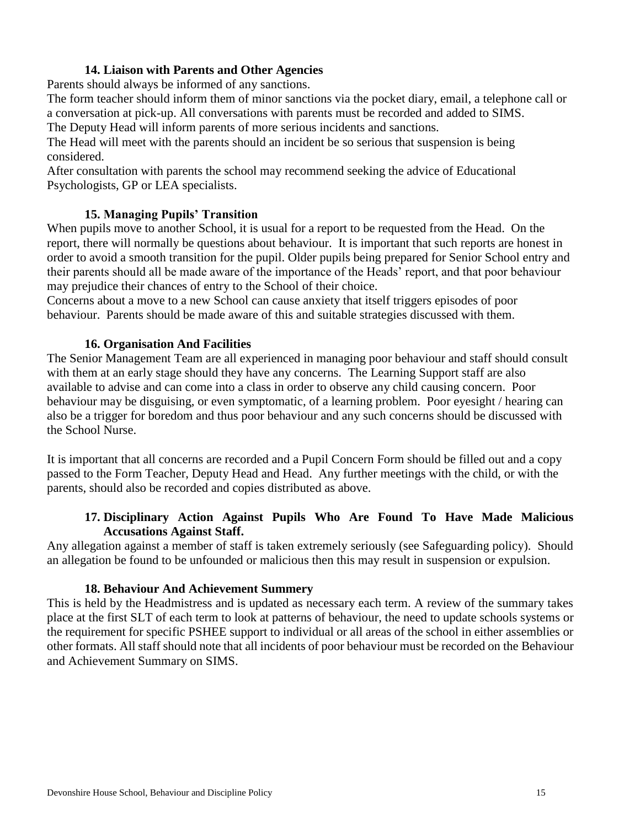### **14. Liaison with Parents and Other Agencies**

Parents should always be informed of any sanctions.

The form teacher should inform them of minor sanctions via the pocket diary, email, a telephone call or a conversation at pick-up. All conversations with parents must be recorded and added to SIMS.

The Deputy Head will inform parents of more serious incidents and sanctions.

The Head will meet with the parents should an incident be so serious that suspension is being considered.

After consultation with parents the school may recommend seeking the advice of Educational Psychologists, GP or LEA specialists.

# **15. Managing Pupils' Transition**

<span id="page-14-0"></span>When pupils move to another School, it is usual for a report to be requested from the Head. On the report, there will normally be questions about behaviour. It is important that such reports are honest in order to avoid a smooth transition for the pupil. Older pupils being prepared for Senior School entry and their parents should all be made aware of the importance of the Heads' report, and that poor behaviour may prejudice their chances of entry to the School of their choice.

Concerns about a move to a new School can cause anxiety that itself triggers episodes of poor behaviour. Parents should be made aware of this and suitable strategies discussed with them.

#### **16. Organisation And Facilities**

<span id="page-14-1"></span>The Senior Management Team are all experienced in managing poor behaviour and staff should consult with them at an early stage should they have any concerns. The Learning Support staff are also available to advise and can come into a class in order to observe any child causing concern. Poor behaviour may be disguising, or even symptomatic, of a learning problem. Poor eyesight / hearing can also be a trigger for boredom and thus poor behaviour and any such concerns should be discussed with the School Nurse.

It is important that all concerns are recorded and a Pupil Concern Form should be filled out and a copy passed to the Form Teacher, Deputy Head and Head. Any further meetings with the child, or with the parents, should also be recorded and copies distributed as above.

#### **17. Disciplinary Action Against Pupils Who Are Found To Have Made Malicious Accusations Against Staff.**

<span id="page-14-2"></span>Any allegation against a member of staff is taken extremely seriously (see Safeguarding policy). Should an allegation be found to be unfounded or malicious then this may result in suspension or expulsion.

#### **18. Behaviour And Achievement Summery**

<span id="page-14-3"></span>This is held by the Headmistress and is updated as necessary each term. A review of the summary takes place at the first SLT of each term to look at patterns of behaviour, the need to update schools systems or the requirement for specific PSHEE support to individual or all areas of the school in either assemblies or other formats. All staff should note that all incidents of poor behaviour must be recorded on the Behaviour and Achievement Summary on SIMS.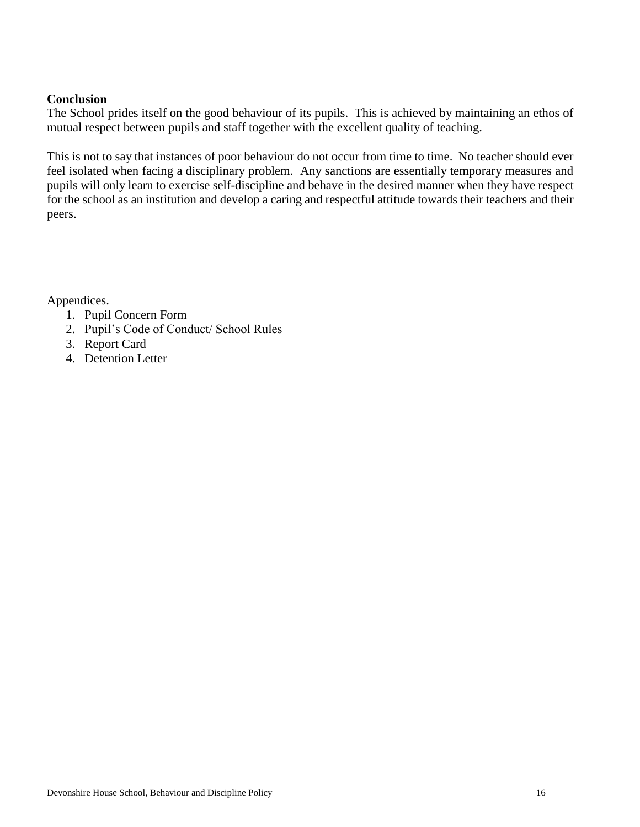#### <span id="page-15-0"></span>**Conclusion**

The School prides itself on the good behaviour of its pupils. This is achieved by maintaining an ethos of mutual respect between pupils and staff together with the excellent quality of teaching.

This is not to say that instances of poor behaviour do not occur from time to time. No teacher should ever feel isolated when facing a disciplinary problem. Any sanctions are essentially temporary measures and pupils will only learn to exercise self-discipline and behave in the desired manner when they have respect for the school as an institution and develop a caring and respectful attitude towards their teachers and their peers.

Appendices.

- 1. Pupil Concern Form
- 2. Pupil's Code of Conduct/ School Rules
- 3. Report Card
- 4. Detention Letter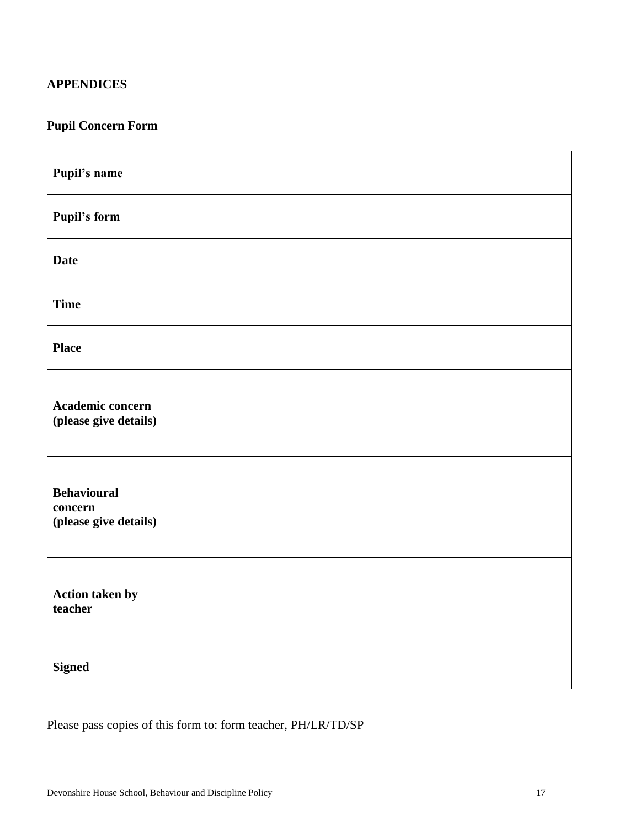# <span id="page-16-0"></span>**APPENDICES**

# <span id="page-16-1"></span>**Pupil Concern Form**

| Pupil's name                                           |  |
|--------------------------------------------------------|--|
| <b>Pupil's form</b>                                    |  |
| <b>Date</b>                                            |  |
| <b>Time</b>                                            |  |
| <b>Place</b>                                           |  |
| Academic concern<br>(please give details)              |  |
| <b>Behavioural</b><br>concern<br>(please give details) |  |
| Action taken by<br>teacher                             |  |
| <b>Signed</b>                                          |  |

Please pass copies of this form to: form teacher, PH/LR/TD/SP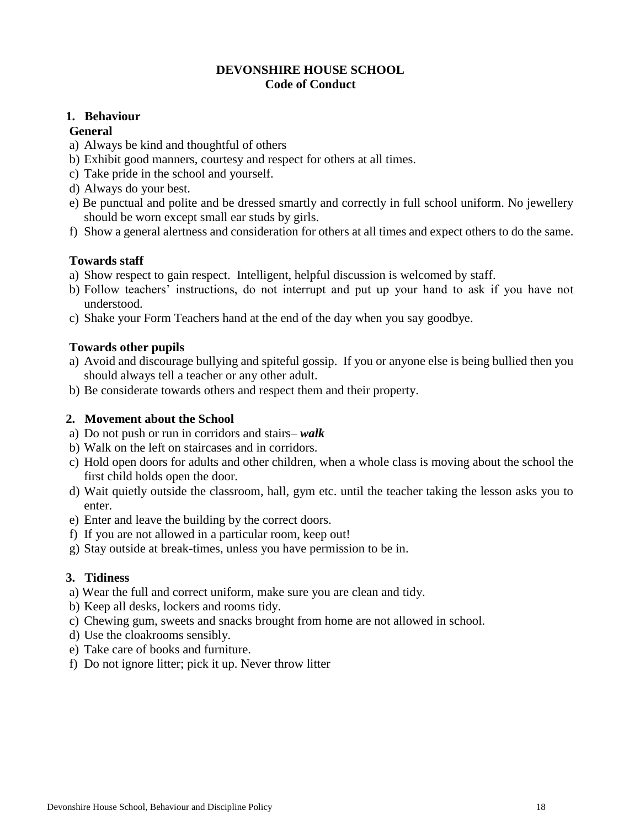#### **DEVONSHIRE HOUSE SCHOOL Code of Conduct**

#### <span id="page-17-0"></span>**1. Behaviour**

#### **General**

- a) Always be kind and thoughtful of others
- b) Exhibit good manners, courtesy and respect for others at all times.
- c) Take pride in the school and yourself.
- d) Always do your best.
- e) Be punctual and polite and be dressed smartly and correctly in full school uniform. No jewellery should be worn except small ear studs by girls.
- f) Show a general alertness and consideration for others at all times and expect others to do the same.

#### **Towards staff**

- a) Show respect to gain respect. Intelligent, helpful discussion is welcomed by staff.
- b) Follow teachers' instructions, do not interrupt and put up your hand to ask if you have not understood.
- c) Shake your Form Teachers hand at the end of the day when you say goodbye.

#### **Towards other pupils**

- a) Avoid and discourage bullying and spiteful gossip. If you or anyone else is being bullied then you should always tell a teacher or any other adult.
- b) Be considerate towards others and respect them and their property.

### **2. Movement about the School**

- a) Do not push or run in corridors and stairs– *walk*
- b) Walk on the left on staircases and in corridors.
- c) Hold open doors for adults and other children, when a whole class is moving about the school the first child holds open the door.
- d) Wait quietly outside the classroom, hall, gym etc. until the teacher taking the lesson asks you to enter.
- e) Enter and leave the building by the correct doors.
- f) If you are not allowed in a particular room, keep out!
- g) Stay outside at break-times, unless you have permission to be in.

# **3. Tidiness**

- a) Wear the full and correct uniform, make sure you are clean and tidy.
- b) Keep all desks, lockers and rooms tidy.
- c) Chewing gum, sweets and snacks brought from home are not allowed in school.
- d) Use the cloakrooms sensibly.
- e) Take care of books and furniture.
- f) Do not ignore litter; pick it up. Never throw litter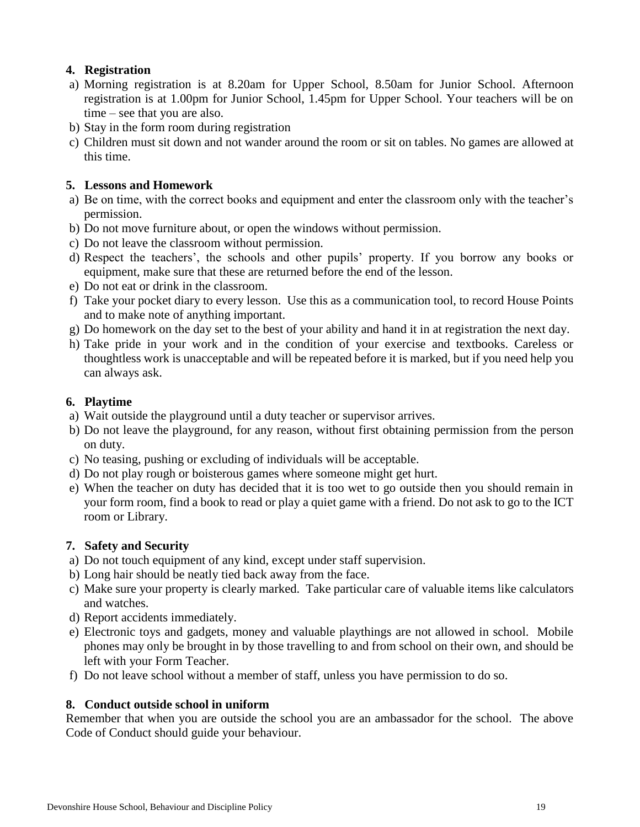# **4. Registration**

- a) Morning registration is at 8.20am for Upper School, 8.50am for Junior School. Afternoon registration is at 1.00pm for Junior School, 1.45pm for Upper School. Your teachers will be on time – see that you are also.
- b) Stay in the form room during registration
- c) Children must sit down and not wander around the room or sit on tables. No games are allowed at this time.

# **5. Lessons and Homework**

- a) Be on time, with the correct books and equipment and enter the classroom only with the teacher's permission.
- b) Do not move furniture about, or open the windows without permission.
- c) Do not leave the classroom without permission.
- d) Respect the teachers', the schools and other pupils' property. If you borrow any books or equipment, make sure that these are returned before the end of the lesson.
- e) Do not eat or drink in the classroom.
- f) Take your pocket diary to every lesson. Use this as a communication tool, to record House Points and to make note of anything important.
- g) Do homework on the day set to the best of your ability and hand it in at registration the next day.
- h) Take pride in your work and in the condition of your exercise and textbooks. Careless or thoughtless work is unacceptable and will be repeated before it is marked, but if you need help you can always ask.

# **6. Playtime**

- a) Wait outside the playground until a duty teacher or supervisor arrives.
- b) Do not leave the playground, for any reason, without first obtaining permission from the person on duty.
- c) No teasing, pushing or excluding of individuals will be acceptable.
- d) Do not play rough or boisterous games where someone might get hurt.
- e) When the teacher on duty has decided that it is too wet to go outside then you should remain in your form room, find a book to read or play a quiet game with a friend. Do not ask to go to the ICT room or Library.

# **7. Safety and Security**

- a) Do not touch equipment of any kind, except under staff supervision.
- b) Long hair should be neatly tied back away from the face.
- c) Make sure your property is clearly marked. Take particular care of valuable items like calculators and watches.
- d) Report accidents immediately.
- e) Electronic toys and gadgets, money and valuable playthings are not allowed in school. Mobile phones may only be brought in by those travelling to and from school on their own, and should be left with your Form Teacher.
- f) Do not leave school without a member of staff, unless you have permission to do so.

# **8. Conduct outside school in uniform**

Remember that when you are outside the school you are an ambassador for the school. The above Code of Conduct should guide your behaviour.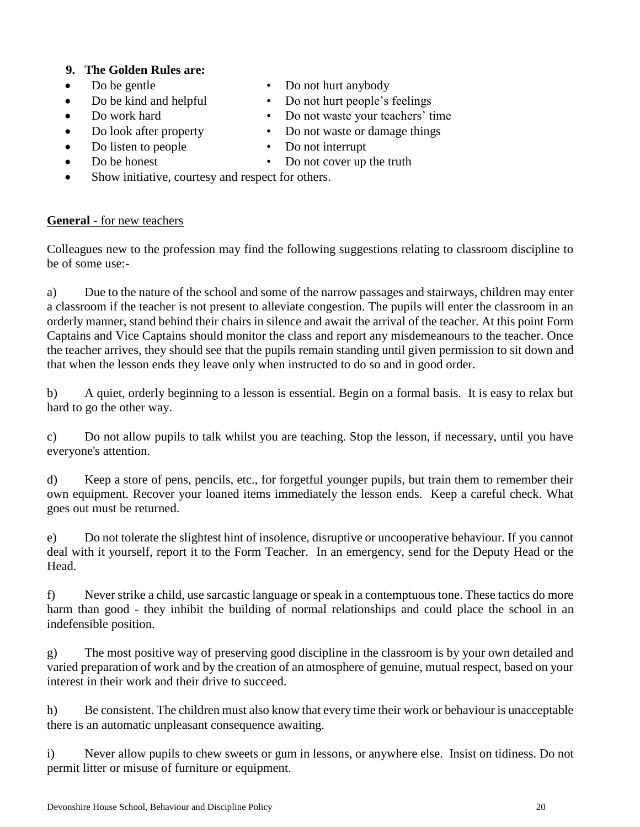# **9. The Golden Rules are:**

- 
- 
- 
- 
- 
- Do be gentle Do not hurt anybody
- Do be kind and helpful Do not hurt people's feelings
	- Do work hard Do not waste your teachers' time
- Do look after property Do not waste or damage things
	- Do listen to people Do not interrupt
- Do be honest Do not cover up the truth
- Show initiative, courtesy and respect for others.

# **General** - for new teachers

Colleagues new to the profession may find the following suggestions relating to classroom discipline to be of some use:-

a) Due to the nature of the school and some of the narrow passages and stairways, children may enter a classroom if the teacher is not present to alleviate congestion. The pupils will enter the classroom in an orderly manner, stand behind their chairs in silence and await the arrival of the teacher. At this point Form Captains and Vice Captains should monitor the class and report any misdemeanours to the teacher. Once the teacher arrives, they should see that the pupils remain standing until given permission to sit down and that when the lesson ends they leave only when instructed to do so and in good order.

b) A quiet, orderly beginning to a lesson is essential. Begin on a formal basis. It is easy to relax but hard to go the other way.

c) Do not allow pupils to talk whilst you are teaching. Stop the lesson, if necessary, until you have everyone's attention.

d) Keep a store of pens, pencils, etc., for forgetful younger pupils, but train them to remember their own equipment. Recover your loaned items immediately the lesson ends. Keep a careful check. What goes out must be returned.

e) Do not tolerate the slightest hint of insolence, disruptive or uncooperative behaviour. If you cannot deal with it yourself, report it to the Form Teacher. In an emergency, send for the Deputy Head or the Head.

f) Never strike a child, use sarcastic language or speak in a contemptuous tone. These tactics do more harm than good - they inhibit the building of normal relationships and could place the school in an indefensible position.

g) The most positive way of preserving good discipline in the classroom is by your own detailed and varied preparation of work and by the creation of an atmosphere of genuine, mutual respect, based on your interest in their work and their drive to succeed.

h) Be consistent. The children must also know that every time their work or behaviour is unacceptable there is an automatic unpleasant consequence awaiting.

i) Never allow pupils to chew sweets or gum in lessons, or anywhere else. Insist on tidiness. Do not permit litter or misuse of furniture or equipment.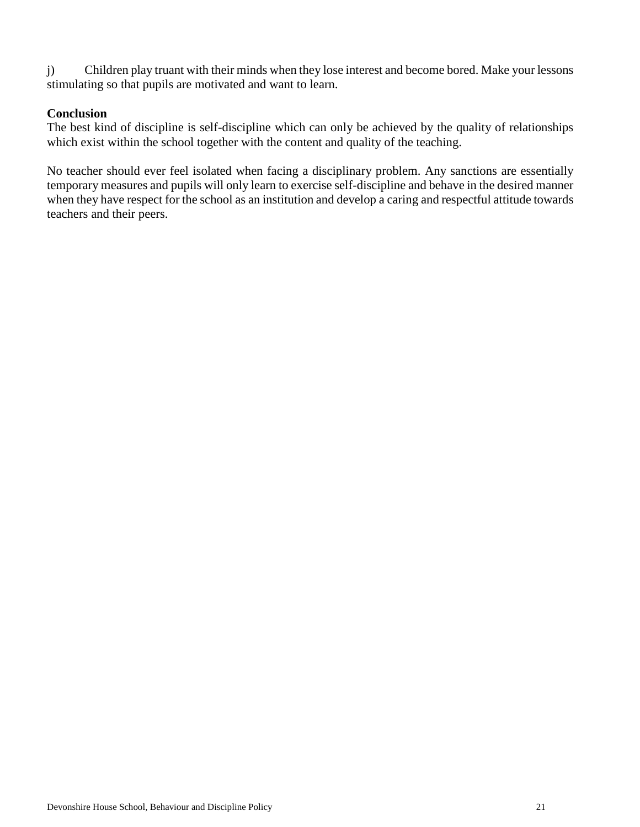j) Children play truant with their minds when they lose interest and become bored. Make your lessons stimulating so that pupils are motivated and want to learn.

#### **Conclusion**

The best kind of discipline is self-discipline which can only be achieved by the quality of relationships which exist within the school together with the content and quality of the teaching.

No teacher should ever feel isolated when facing a disciplinary problem. Any sanctions are essentially temporary measures and pupils will only learn to exercise self-discipline and behave in the desired manner when they have respect for the school as an institution and develop a caring and respectful attitude towards teachers and their peers.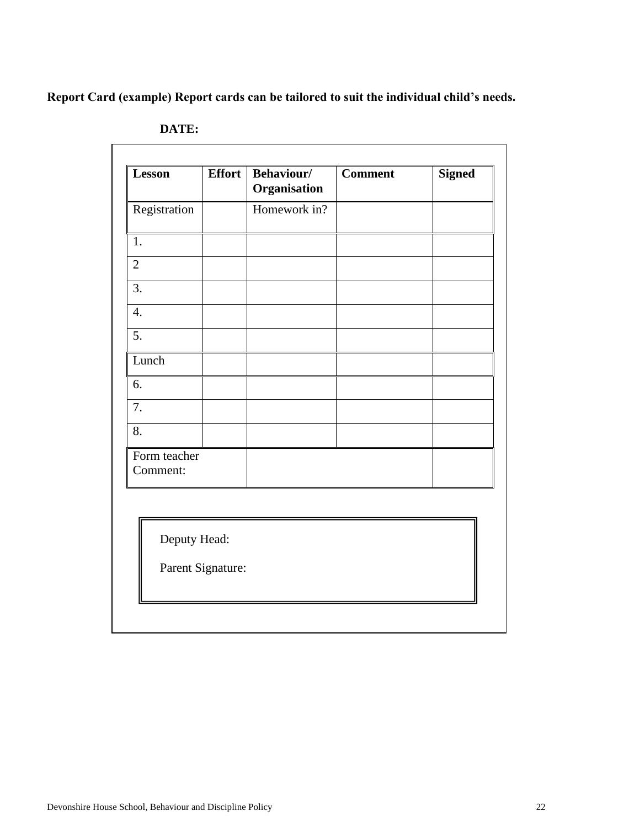<span id="page-21-0"></span>**Report Card (example) Report cards can be tailored to suit the individual child's needs.**

| <b>Lesson</b>            | Effort            | <b>Behaviour/</b><br>Organisation | <b>Comment</b> | <b>Signed</b> |
|--------------------------|-------------------|-----------------------------------|----------------|---------------|
| Registration             |                   | Homework in?                      |                |               |
| 1.                       |                   |                                   |                |               |
| $\mathbf{2}$             |                   |                                   |                |               |
| 3.                       |                   |                                   |                |               |
| $\overline{4}$ .         |                   |                                   |                |               |
| 5.                       |                   |                                   |                |               |
| Lunch                    |                   |                                   |                |               |
| 6.                       |                   |                                   |                |               |
| 7.                       |                   |                                   |                |               |
| 8.                       |                   |                                   |                |               |
| Form teacher<br>Comment: |                   |                                   |                |               |
|                          |                   |                                   |                |               |
| Deputy Head:             |                   |                                   |                |               |
|                          | Parent Signature: |                                   |                |               |

**DATE:**